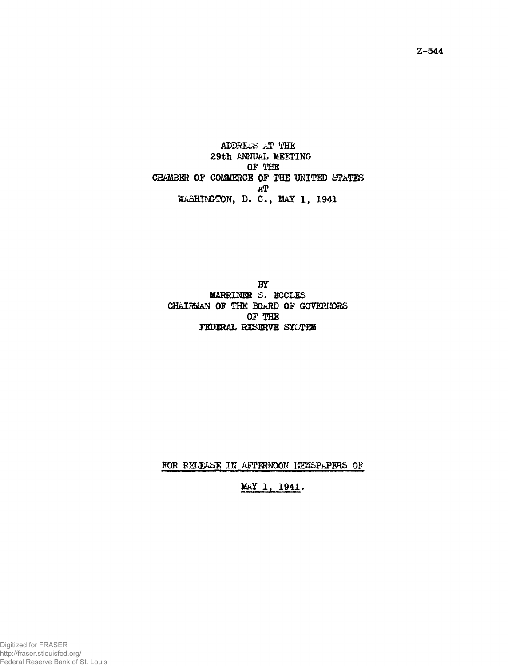ADDREES AT THE **29th ANNUüL MEETING OF TEE CHAMBER OF COMMERCE OF THE UNITED STATES AT** WASHINGTON, D. C., MAY 1, 1941

*BY* **MARRINER S. ECCLES** CHAIRMAN OF THE BOARD OF GOVERNORS **OF THE** FEDERAL RESERVE SYGTEM

FOR RELEASE IN AFTERNOON NEWSPAPERS OF

MAY 1, 1941.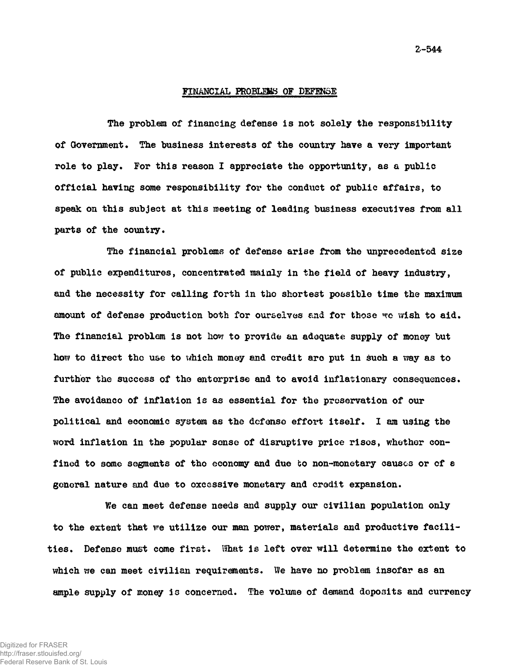## **FINANCIAL PROBLEMS OF DEFENSE**

**The problem of financing defense is not solely the responsibility of Government. The business interests of the country have a very important role to play. For this reason I appreciate the opportunity, as a public official having some responsibility for the conduct of public affairs, to** speak on this subject at this meeting of leading business executives from all **parts of the country.**

**The financial problems of defense arise from the unprecedented size of public expenditures, concentrated mainly in the field of heavy industry, and the necessity for calling forth in tho shortest possible time the maximum** amount of defense production both for ourselves and for those we wish to aid. The financial problem is not how to provide an adequate supply of money but **how to direct tho use to which money and credit arc put in Such a way as to further the success of the enterprise and to avoid inflationary consequences. The avoidanco of inflation is as essential for the preservation of our political and economic system as the defense effort itself. I am U3ing the word inflation in the popular sense of disruptive price risos, whether confined to some segments of tho economy and due bo non-monetary causes or of e general nature and due to oxccssive monetary and credit expansion.**

**We can meet defense needs and supply our civilian population only to the extent that we utilize our man power, materials and productive facilities. Defense must come first. What is left over will determine the extent to which we can meet civilian requirements.** *Me* **have no problem insofar as an ample supply of money is concerned. The volume of demand deposits and currency**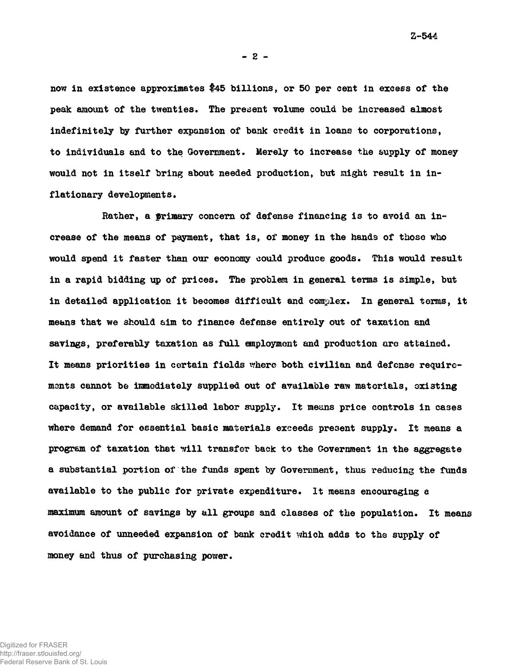**- 2 -**

**now in existence approximates \$45 billions, or 50 per cent in excess of the peak amount of the twenties. The present volume could be increased almost indefinitely by further expansion of bank credit in loans to corporations, to individuals and to the Government. Merely to increase the supply of money would not in itself bring about needed production, but might result in in**flationary developments.

Rather, a **primary** concern of defense financing is to avoid an in**crease of the means of payment, that is, of money in the hands of those who would spend it faster than our economy could produce goods. This would result in a rapid bidding up of prices. The problem in general terms is simple, but in detailed application it becomes difficult and complex. In general terms, it means that we should aim to finance defense entirely out of taxation and savings, preferably taxation as full employment and production arc attained. It means priorities in certain fields where both civilian and defense requirements cannot be immediately supplied out of available raw materials, existing capacity, or available skilled labor supply. It means price controls in cases where demand for essential basic materials exceeds present supply. It means a program of taxation that will transfer back to the Government in the aggregate a substantial portion of the funds spent by Government, thus reducing the funds available to the public for private expenditure. It means encouraging a maximum amount of savings by all groups and classes of the population. It means avoidance of unneeded expansion of bank credit which adds to the supply of money and thus of purchasing power.**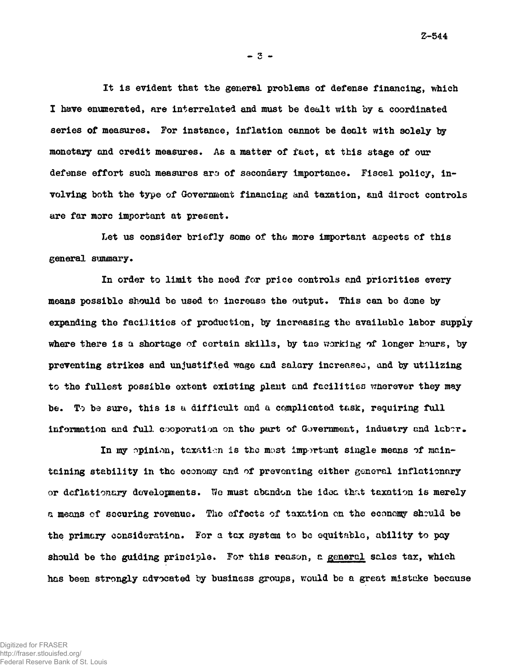**Z—544**

 $-3 -$ 

**It is evident that the general problems of defense financing, which I have enumerated, are interrelated and must be dealt with by a coordinated series of measures. For instance, inflation cannot be dealt with solely by monetary and credit measures. As a matter of fact, at this stage of our defense effort such measures aro of secondary importance. Fiscal policy, involving both the type of Government financing and taxation, and dircct controls are far more important at present.**

**Let us consider briefly some of the more important aspects of this general summary.**

**In order to limit the need for price controls and priorities every means possible should be used to increass the output. This can bo done by expanding the facilities of production, by increasing the available labor supply where there is a shortage of certain skills, by tno working of longer hours, by preventing strikes and unjustified wage end salary increases, and by utilizing to the fullest possible extent existing plant and facilities wherever they may be. To be sure, this is a difficult and a complicated task, requiring full information and full cooperation on the part of Government, industry end lab'ir.**

**In my opinion, taxation is tho most important single means of maintaining stability in tho economy and of preventing either general inflationary or deflationary developments. We must abandon the idea that taxation is merely a means of securing revenue. The effects of taxation on the economy should be the primary consideration. For a tax system to be equitable, ability to pay should be the guiding principle. For this reason, a general sales tax, which has been strongly advocated by business groups, would be a great mistake because**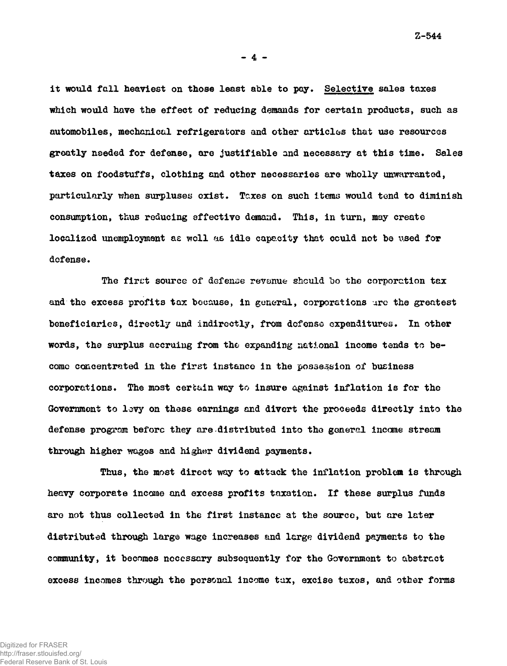**- 4 -**

**it would fall heaviest on those least able to pay. Selective sales taxes which would have the effect of reducing demands for certain products, such as automobiles, mechanical refrigerators and other articles that use resources greatly needed for defense, are justifiable and necessary at this time. Sales taxes on foodstuffs, clothing and other necessaries are wholly unwarranted, particularly when surpluses exist. Taxes on such items would tend to diminish consumption, thus reducing effective demand. This, in turn, may create localized unemployment as well as idle capacity that cculd not be used for defense.**

**The firct source of defense revenue should bo the corporation tax and the excess profits tax booause, in general, corporations arc the greatest beneficiaries, directly and indirectly, from defense expenditures. In other words, the surplus accruing from the expanding national income tends to become concentrated in the first instance in the possession of business corporations. The most certain way to insure against inflation is for the Government to levy on these earnings and divert the proceeds directly into the defense program before they are distributed into tho general income stream through higher wages and higher dividend payments.**

**Thus, the most direct way to attack the inflation problem is through heavy corporate income and excess profits taxation. If these surplus funds are not thus collected in the first instance at the source, but are later distributed through large wage increases and large dividend payments to the community, it becomes necessary subsequently for the Government to abstract excess incomes through the personal income tax, excise taxes, and other forms**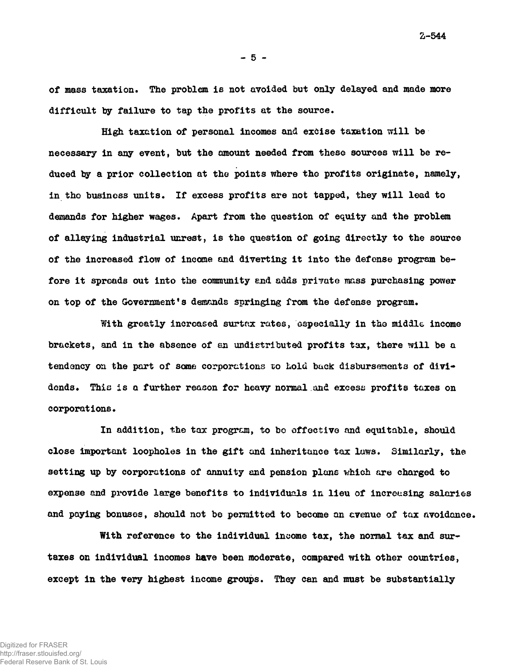**2.-544**

 $-5 -$ 

**of mass taxation. The problem is not avoided but only delayed and made more difficult by failure to tap the profits at the source.**

**High taxation of personal incomes and excise taxation will be necessary in any event, but the amount needed from these sources will be reduced by a prior collection at the points where the profits originate, namely, in tho business units. If excess profits are not tapped, they will lead to demands for higher wages. Apart from the question of equity and the problem of allaying industrial unrest, is the question of going directly to the source of the increased flow of income and diverting it into the defense program before it spreads out into the community end adds private mass purchasing power on top of the Government's demands springing from the defense program.**

**With greatly incroased surtax rates, especially in the middle income brackets, and in the absence of an undistributed profits tax, there will be a tendency on the part of some corporations to hold back disbursements of dividends. This is a further reason for heavy normal and excess profits taxes on corporations.**

In addition, the tax program, to be effective and equitable, should **close important loopholes in the gift and inheritance tax laws. Similarly, the setting up by corporations of annuity and pension plans which are charged to expense and provide large benefits to individuals in lieu of increasing salaries and paying bonuses, should not be permitted to become an cvenue of tax avoidance.**

**With reference to the individual income tax, the normal tax and surtaxes on individual incomes have been moderate, compared with other countries, except in the very highest income groups. They can and must be substantially**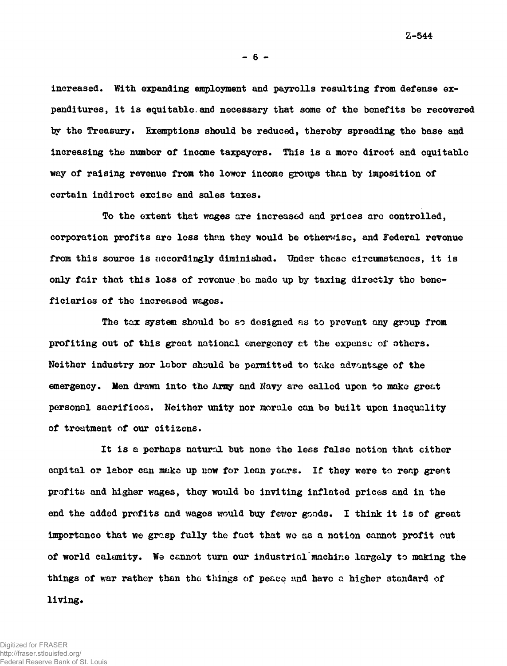**- 6 -**

**increased. With expanding employment and payrolls resulting from defense expenditures, it is equitable.and necessary that some of the benefits be recovered by the Treasury. Exemptions should be reduced, thereby spreading the base and increasing the number of income taxpayers. This is a more diroct and equitable way of raising revenue from the lower income groups than by imposition of certain indirect excise and sales taxes.**

**To the extent that wages are increased and prices aro controlled, corporation profits are loss than they would be otherwise, and Federal revenue from this source is accordingly diminished. Under these circumstances, it is only fair that this loss of revenue bo made up by taxing directly tho beneficiarios of the increased wages.**

**The tax system should bo so designed ns to prevent any group from profiting out of this groat national emergency at the expense of others. Neither industry nor labor should be permitted to trike advantage of the emergency. Men drawn into tho Arngr and Navy are called upon to make groat personal sacrificoa. Neither unity nor morale can be built upon inequality of treatment of our citizens.**

**It is a perhaps natural but none the less false notion that either capital or labor can make up now for lean years. If they were to reap great profits and higher wages, they would be inviting inflated prices and in the end the added profits and wages would buy fewer goods. I think it is of great importance that we grasp fully the fact that wo as a nation cannot profit out of world calamity. We cannot turn our industrial machine largely to making the things of war rather than the things of peace and have a higher standard of**

**living.**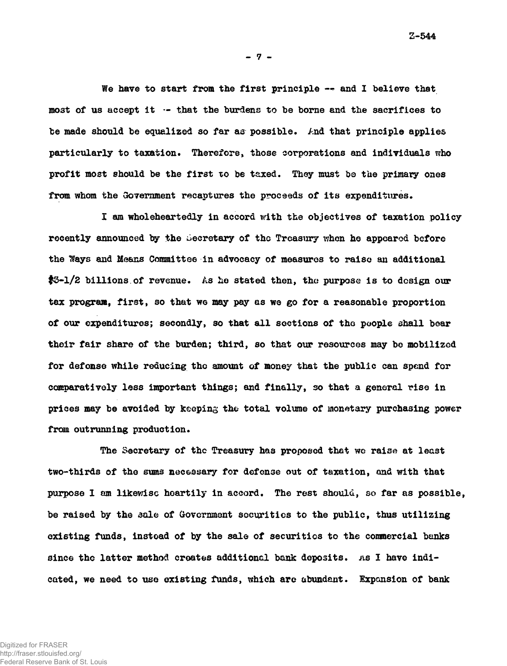**Z—544**

**- 7 -**

**We have to start from the first principle — and I believe that mo3t of us accept it — that the burdens to be borne and the sacrifices to be made should be equalized so far as possible. And that principle applies particularly to taxation. Therefore, those corporations and individuals who profit most should be the first to be taxed. They must bo the primary ones from whom the Government recaptures the proceeds of its expenditures.**

**I am wholeheartedly in accord with the objectives of taxation policy** recently announced by the Secretary of the Treasury when he appeared before **the Ways and Means Committee in advocacy of measures to raise an additional #3-1/2 billions.of revenue. As ho stated then, the purpose is to design our tax program, first, so that we may pay as we go for a reasonable proportion of our expenditures; secondly, so that all sections of the people shall bear their fair share of the burden; third, so that our resources may be mobilized for defonse while reducing the amount of money that the public can spend for comparatively less important things; and finally, so that a general rise in prices may be avoided by keeping the- total volume of monetary purchasing power from outrunning production.**

**The Secretary of the Treasury has proposed that we raise at least two-thirds of the sums necessary for defonse out of taxation, and with that purpose 1 am likewise heartily in accord. The rest should, so far as possible, be raised by the aale of Government securities to the public, thus utilizing existing funds, instead of by the sale of securities to the commercial banks** since the latter method creates additional bank deposits. As I have indi**cated, we need to use existing funds, which are abundant. Expansion of bank**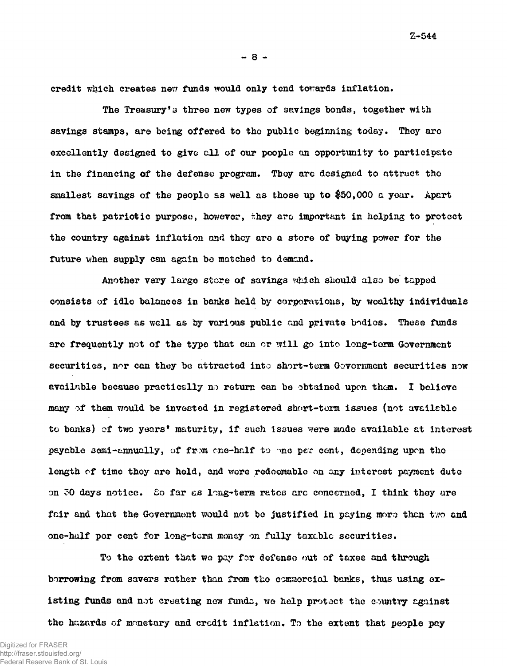**- 8 -**

credit which creates new funds would only tend towards inflation.

**The Treasury's three new types of savings bonds, together with savings stamps, are being offered to the public beginning today. They arc excellently designed to give ell of our people an opportunity to participate in the financing of the defonse program. They are designed to attract tho smallest savings of the people as well as those up to \$50,000 a year. Apart from that patriotic purpose, however, they aro important in helping to protect the country against inflation and they aro a store of buying power for the** future when supply can again be matched to demand.

**Another very largo store of savings which should also be tapped consists of idle balances in banks held by corporations, by wealthy individuals and by trustees as well as by various public and private bodies. These funds are frequently not of the type that can or will go into long-torn Government securities, nor can they be attracted into short-term Government securities now available because practically no return can be obtained upon them. I believe many of than would be invested in registered short-term issues (not available to banks) of two years\* maturity, if such issues were made available at interest payable semi-annually, of from cne-half to mo per cent, depending upon tho length of time thoy are held, and wore redeemable on any interest payment date on 30 days notice. So far as long-term retos arc concerned, I think thoy are** fair and that the Government would not be justified in paying more than two and **one-half por cent for long-tora money on fully taxable securities.**

**To the extent that wo pay for defense out of taxes and through borrowing from savers rather than from tho commorcial banks, thus using existing funds and not creating new funds, we help protect- the country against the hazards of monetary and crcdit inflation. To the extent that people pay**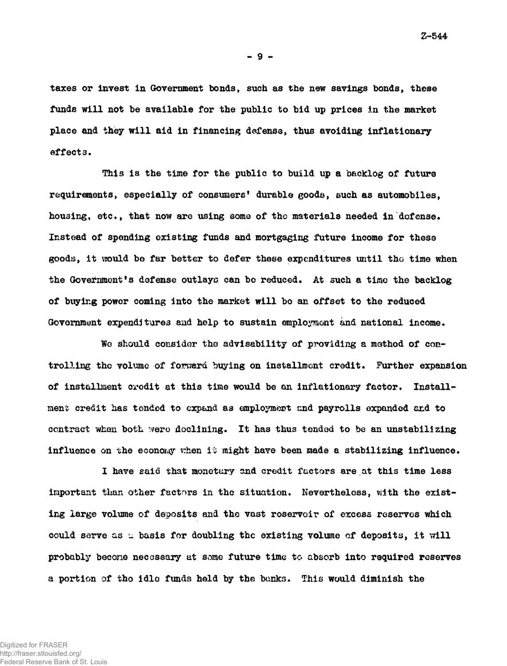**- 9 -**

**taxes or invest in Government bonds, such as the new savings bonds, these funds will not be available for the public to bid up prices in the market place and they will aid in financing defense, thus avoiding inflationary effects.**

**This is the time for the public to build up a backlog of future requirements, especially of consumers' durable goods, such as automobiles, housing, etc., that now are using some of tho materials needed in defense. Instead of spending existing funds and mortgaging future income for these goods, it would bo far better to defer these expenditures until tho time when the Government's defense outlays can bo reduced. At such a time the backlog of buying power coming into the market will bo an offset to the reduced Government expenditures and help to sustain employment and national income.**

**Wo should consider the advisability of providing a method of controlling the volume of forward buying on installment credit. Further expansion of installment credit at this time would be an inflationary factor. Installment credit has tended to expand as employment end payrolls expanded and to contract when both wero declining. It has thus tended to be an unstabilizing influence on the econowy vrhen it might have been made a stabilizing influence.**

**I have said that monetary and credit factors are .at this time less important than other factors in the situation. Nevertheless, with the existing large volume of deposits and the vast roservoir of excess reserves which could serve as u basis for doubling the existing volume of deposits, it will probably becone necessary at some future time to absorb into required reserves a portion of tho idle funds hold by the banks. This would diminish the**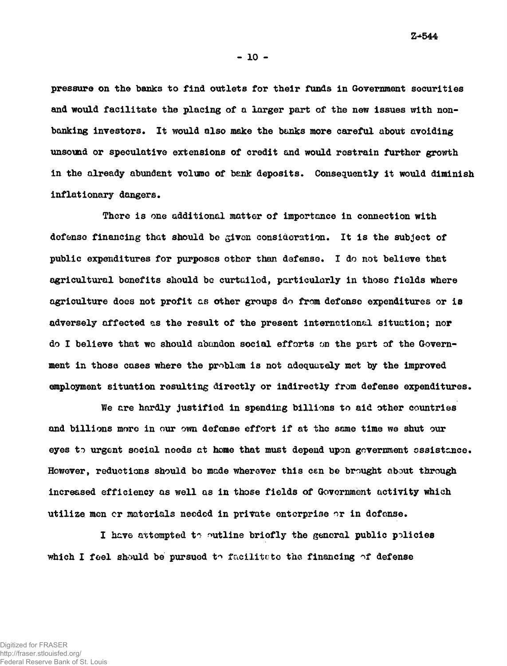**Z\*fc544**

**- 10 -**

**pressure on the basks to find outlets for their funds in Government securities and would facilitate the placing of a larger part of the new issues with nonbanking investors. It would also make the banks more careful about avoiding unsound or speculative extensions of credit and would restrain further growth in the already abundant volume of bank deposits. Consequently it would diminish inflationary dangers.**

**There is one additional matter of importance in connection with defense financing that should be given consideration. It is the subject of public expenditures for purposes other than defense. I do not believe that agricultural benefits should be curtailod, particularly in those fields where agriculture does not profit as other groups do from defense expenditures or is adversely affected as the result of the present international situation; nor do I believe that wc should abandon social efforts on the part of the Government in those cases where the problem is not adequately met by the improved employment situation resulting directly or indirectly from defense expenditures.**

**We are hardly justified in spending billions to aid other countries and billions more in our own defense effort if at the seme time we shut our** eyes to urgent social needs at home that must depend upon government assistance. **However, reductions should be made wherever this cen be brought about through increased efficiency as well as in those fields of Government activity which utilize men or materials needed in private enterprise or in dofonse.**

**I** have attempted to outline briefly the general public policies **which I feel should be pursued facilitcto the financing ^f defense**